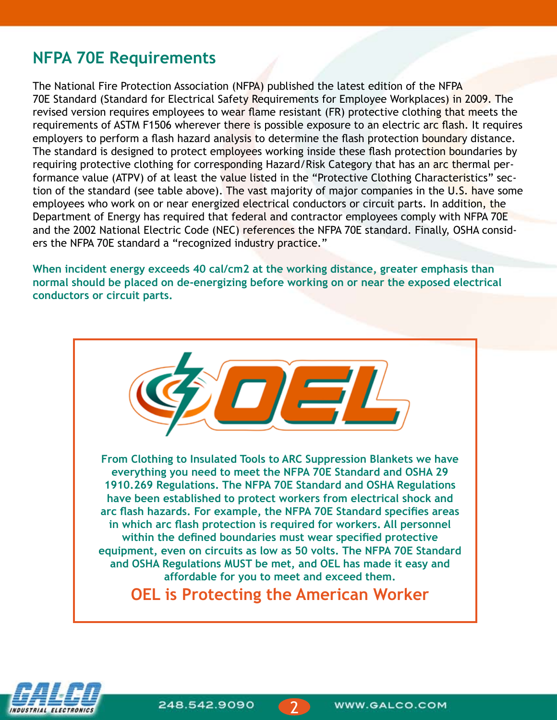### **NFPA 70E Requirements**

The National Fire Protection Association (NFPA) published the latest edition of the NFPA 70E Standard (Standard for Electrical Safety Requirements for Employee Workplaces) in 2009. The revised version requires employees to wear flame resistant (FR) protective clothing that meets the requirements of ASTM F1506 wherever there is possible exposure to an electric arc flash. It requires employers to perform a flash hazard analysis to determine the flash protection boundary distance. The standard is designed to protect employees working inside these flash protection boundaries by requiring protective clothing for corresponding Hazard/Risk Category that has an arc thermal performance value (ATPV) of at least the value listed in the "Protective Clothing Characteristics" section of the standard (see table above). The vast majority of major companies in the U.S. have some employees who work on or near energized electrical conductors or circuit parts. In addition, the Department of Energy has required that federal and contractor employees comply with NFPA 70E and the 2002 National Electric Code (NEC) references the NFPA 70E standard. Finally, OSHA considers the NFPA 70E standard a "recognized industry practice."

**When incident energy exceeds 40 cal/cm2 at the working distance, greater emphasis than normal should be placed on de-energizing before working on or near the exposed electrical conductors or circuit parts.**